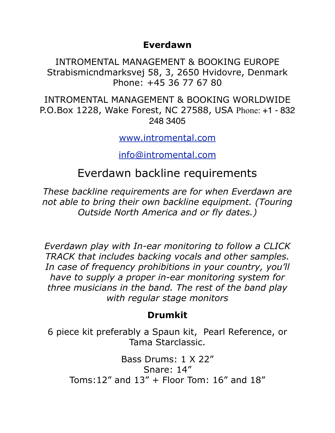#### **Everdawn**

INTROMENTAL MANAGEMENT & BOOKING EUROPE Strabismicndmarksvej 58, 3, 2650 Hvidovre, Denmark Phone: +45 36 77 67 80

INTROMENTAL MANAGEMENT & BOOKING WORLDWIDE P.O.Box 1228, Wake Forest, NC 27588, USA Phone: +1 - 832 248 3405

[www.intromental.com](http://www.intromental.com)

[info@intromental.com](mailto:info@intromental.com)

# Everdawn backline requirements

*These backline requirements are for when Everdawn are not able to bring their own backline equipment. (Touring Outside North America and or fly dates.)*

*Everdawn play with In-ear monitoring to follow a CLICK TRACK that includes backing vocals and other samples. In case of frequency prohibitions in your country, you'll have to supply a proper in-ear monitoring system for three musicians in the band. The rest of the band play with regular stage monitors* 

## **Drumkit**

6 piece kit preferably a Spaun kit, Pearl Reference, or Tama Starclassic.

Bass Drums: 1 X 22" Snare: 14" Toms:12" and 13" + Floor Tom: 16" and 18"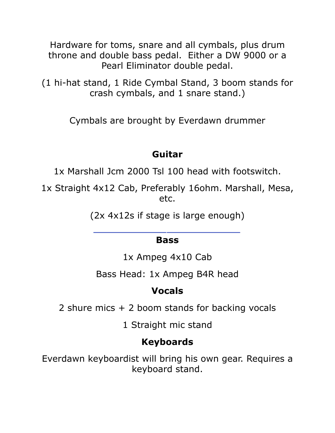Hardware for toms, snare and all cymbals, plus drum throne and double bass pedal. Either a DW 9000 or a Pearl Eliminator double pedal.

(1 hi-hat stand, 1 Ride Cymbal Stand, 3 boom stands for crash cymbals, and 1 snare stand.)

Cymbals are brought by Everdawn drummer

### **Guitar**

1x Marshall Jcm 2000 Tsl 100 head with footswitch.

1x Straight 4x12 Cab, Preferably 16ohm. Marshall, Mesa, etc.

(2x 4x12s if stage is large enough)

#### **Bass**

1x Ampeg 4x10 Cab

Bass Head: 1x Ampeg B4R head

#### **Vocals**

2 shure mics + 2 boom stands for backing vocals

1 Straight mic stand

## **Keyboards**

Everdawn keyboardist will bring his own gear. Requires a keyboard stand.